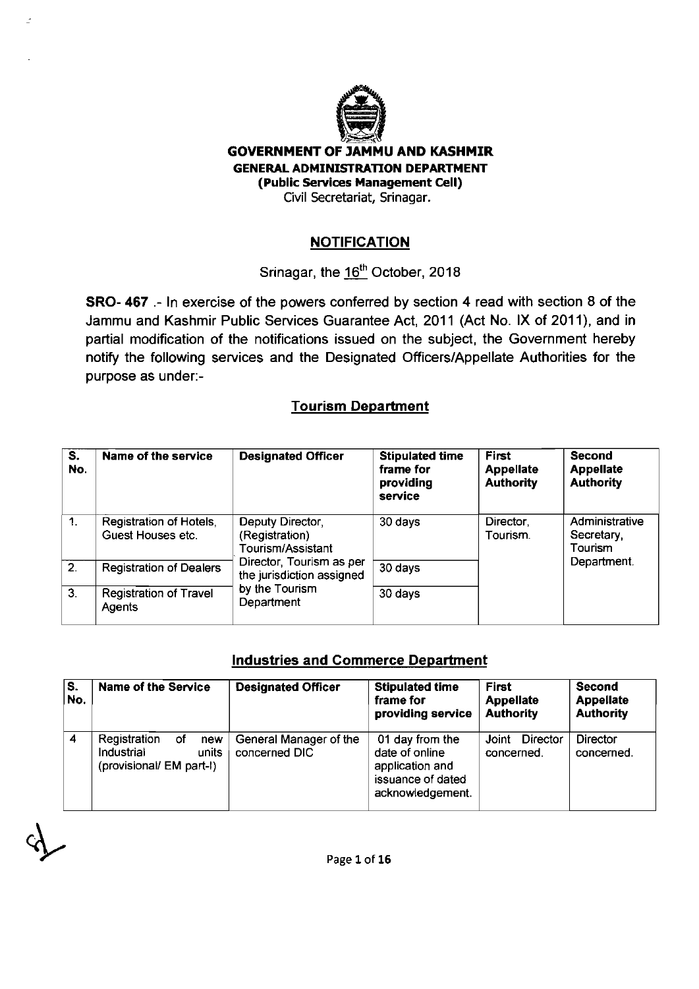

J.

#### **GOVERNMENT OF JAMMU AND KASHMIR**  GENERAL ADMINISTRATION DEPARTMENT (Public Services Management Cell) Civil Secretariat, Srinagar.

#### **NOTIFICATION**

## Srinagar, the 16<sup>th</sup> October, 2018

SRO- 467 .- In exercise of the powers conferred by section 4 read with section **8** of the Jammu and Kashmir Public Services Guarantee Act, **201** 1 (Act No. IX of **201 I),** and in partial modification of the notifications issued on the subject, the Government hereby notify the following services and the Designated OfficersIAppellate Authorities for the purpose as under:-

#### Tourism Department

| S.<br>No.      | Name of the service                          | <b>Designated Officer</b>                                                                                                                        | <b>Stipulated time</b><br>frame for<br>providing<br>service | <b>First</b><br><b>Appellate</b><br><b>Authority</b> | <b>Second</b><br><b>Appellate</b><br><b>Authority</b> |
|----------------|----------------------------------------------|--------------------------------------------------------------------------------------------------------------------------------------------------|-------------------------------------------------------------|------------------------------------------------------|-------------------------------------------------------|
| $\mathbf{1}$ . | Registration of Hotels,<br>Guest Houses etc. | Deputy Director,<br>(Registration)<br>Tourism/Assistant<br>Director, Tourism as per<br>the jurisdiction assigned<br>by the Tourism<br>Department | 30 days                                                     | Director,<br>Tourism.                                | Administrative<br>Secretary,<br>Tourism               |
| 2 <sub>1</sub> | <b>Registration of Dealers</b>               |                                                                                                                                                  | 30 days                                                     |                                                      | Department.                                           |
| $\overline{3}$ | <b>Registration of Travel</b><br>Agents      |                                                                                                                                                  | 30 days                                                     |                                                      |                                                       |

#### Industries and Commerce Department

| S.<br>No. | <b>Name of the Service</b>                                                   | <b>Designated Officer</b>               | <b>Stipulated time</b><br>frame for<br>providing service                                      | First<br><b>Appellate</b><br><b>Authority</b> | <b>Second</b><br><b>Appellate</b><br><b>Authority</b> |
|-----------|------------------------------------------------------------------------------|-----------------------------------------|-----------------------------------------------------------------------------------------------|-----------------------------------------------|-------------------------------------------------------|
| 4         | Registration<br>оf<br>new<br>Industrial<br>units<br>(provisional/ EM part-I) | General Manager of the<br>concerned DIC | 01 day from the<br>date of online<br>application and<br>issuance of dated<br>acknowledgement. | Director<br>Joint<br>concerned.               | Director<br>concerned.                                |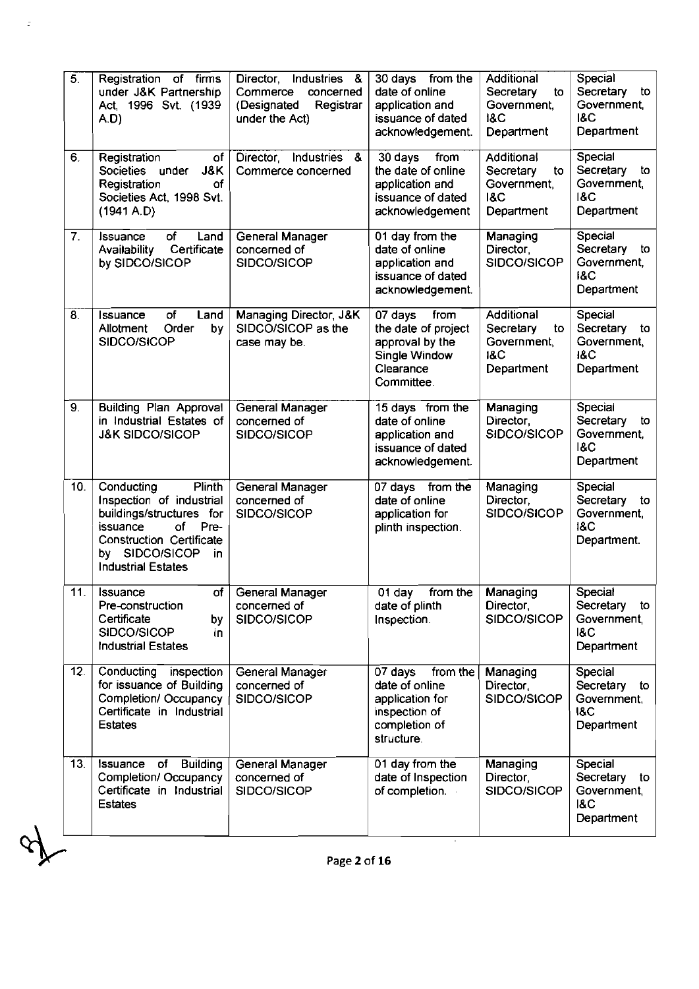| 5.              | Registration of firms<br>under J&K Partnership<br>Act. 1996 Svt. (1939<br>A.D)                                                                                                                  | Director, Industries &<br>Commerce<br>concerned<br>(Designated<br>Registrar<br>under the Act) | 30 days from the<br>date of online<br>application and<br>issuance of dated<br>acknowledgement.           | Additional<br>Secretary<br>to<br>Government,<br><b>18C</b><br>Department | Special<br>Secretary to<br>Government,<br><b>18C</b><br>Department    |
|-----------------|-------------------------------------------------------------------------------------------------------------------------------------------------------------------------------------------------|-----------------------------------------------------------------------------------------------|----------------------------------------------------------------------------------------------------------|--------------------------------------------------------------------------|-----------------------------------------------------------------------|
| 6.              | Registration<br>of I<br>Societies under<br>J&K<br>Registration<br>0f<br>Societies Act, 1998 Svt.<br>(1941 A.D)                                                                                  | Director, Industries<br>-8<br>Commerce concerned                                              | 30 days<br>from<br>the date of online<br>application and<br>issuance of dated<br>acknowledgement         | Additional<br>Secretary<br>to<br>Government,<br><b>18C</b><br>Department | Special<br>Secretary<br>to<br>Government,<br><b>18C</b><br>Department |
| 7.              | Issuance<br>Land<br>Οf<br>Certificate<br>Availability<br>by SIDCO/SICOP                                                                                                                         | General Manager<br>concerned of<br>SIDCO/SICOP                                                | 01 day from the<br>date of online<br>application and<br>issuance of dated<br>acknowledgement.            | Managing<br>Director.<br>SIDCO/SICOP                                     | Special<br>Secretary<br>to<br>Government,<br><b>18C</b><br>Department |
| 8.              | of<br>Issuance<br>Land<br>Order<br>by.<br>Allotment<br>SIDCO/SICOP                                                                                                                              | Managing Director, J&K<br>SIDCO/SICOP as the<br>case may be.                                  | from<br>07 days<br>the date of project<br>approval by the<br>Single Window<br>Clearance<br>Committee.    | Additional<br>Secretary<br>to<br>Government,<br><b>18C</b><br>Department | Special<br>Secretary<br>to<br>Government,<br><b>18C</b><br>Department |
| 9.              | <b>Building Plan Approval</b><br>in Industrial Estates of<br><b>J&amp;K SIDCO/SICOP</b>                                                                                                         | General Manager<br>concerned of<br>SIDCO/SICOP                                                | 15 days from the<br>date of online<br>application and<br>issuance of dated<br>acknowledgement.           | Managing<br>Director,<br>SIDCO/SICOP                                     | Special<br>Secretary<br>to<br>Government,<br><b>18C</b><br>Department |
| 10.             | Conducting<br>Plinth<br>Inspection of industrial<br>buildings/structures for<br>of<br>issuance<br>Pre-<br><b>Construction Certificate</b><br>by SIDCO/SICOP<br>in.<br><b>Industrial Estates</b> | General Manager<br>concerned of<br>SIDCO/SICOP                                                | 07 days from the<br>date of online<br>application for<br>plinth inspection.                              | Managing<br>Director,<br>SIDCO/SICOP                                     | Special<br>Secretary to<br>Government,<br><b>18C</b><br>Department.   |
| 11.             | $\overline{\mathsf{of}}$<br>Issuance<br>Pre-construction<br>Certificate<br>by<br>SIDCO/SICOP<br>in.<br><b>Industrial Estates</b>                                                                | General Manager<br>concerned of<br>SIDCO/SICOP                                                | $01$ day<br>from the<br>date of plinth<br>Inspection.                                                    | Managing<br>Director,<br>SIDCO/SICOP                                     | Special<br>Secretary to<br>Government,<br><b>18C</b><br>Department    |
| 12 <sub>1</sub> | Conducting<br>inspection<br>for issuance of Building<br>Completion/ Occupancy<br>Certificate in Industrial<br><b>Estates</b>                                                                    | General Manager<br>concerned of<br>SIDCO/SICOP                                                | 07 days<br>from the<br>date of online<br>application for<br>inspection of<br>completion of<br>structure. | Managing<br>Director.<br>SIDCO/SICOP                                     | Special<br>Secretary to<br>Government,<br><b>18C</b><br>Department    |
| 13.             | of Building<br>Issuance<br>Completion/ Occupancy<br>Certificate in Industrial<br><b>Estates</b>                                                                                                 | General Manager<br>concerned of<br>SIDCO/SICOP                                                | 01 day from the<br>date of Inspection<br>of completion.                                                  | Managing<br>Director,<br>SIDCO/SICOP                                     | Special<br>Secretary to<br>Government,<br><b>18C</b><br>Department    |

 $\mathbb{R}^{n \times n}$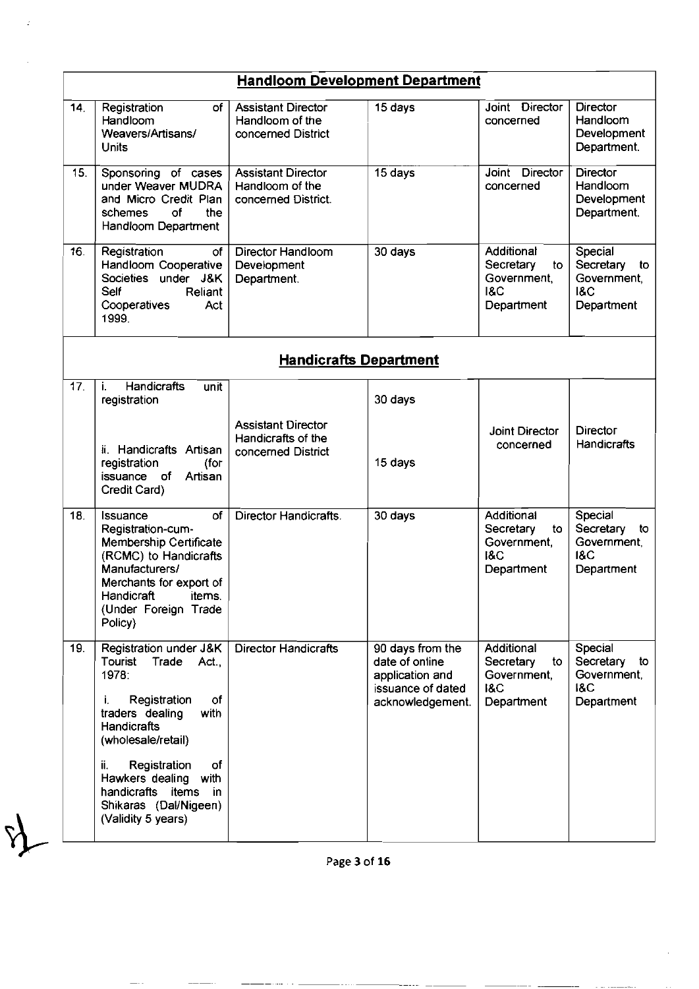| Joint Director<br>concerned<br>Joint Director<br>concerned | <b>Director</b><br>Handloom<br>Development<br>Department.<br><b>Director</b><br>Handloom<br>Development |  |  |  |  |  |  |
|------------------------------------------------------------|---------------------------------------------------------------------------------------------------------|--|--|--|--|--|--|
|                                                            |                                                                                                         |  |  |  |  |  |  |
|                                                            |                                                                                                         |  |  |  |  |  |  |
|                                                            | Department.                                                                                             |  |  |  |  |  |  |
| Additional<br>Secretary<br>to<br>Government.<br>Department | Special<br>Secretary<br>to<br>Government,<br><b>18C</b><br>Department                                   |  |  |  |  |  |  |
| <b>Handicrafts Department</b>                              |                                                                                                         |  |  |  |  |  |  |
|                                                            |                                                                                                         |  |  |  |  |  |  |
| <b>Joint Director</b><br>concerned                         | Director<br>Handicrafts                                                                                 |  |  |  |  |  |  |
| Additional<br>Secretary<br>to<br>Government.<br>Department | Special<br>Secretary<br>to<br>Government,<br><b>18C</b><br>Department                                   |  |  |  |  |  |  |
| Additional<br>Secretary<br>to<br>Government,<br>Department | Special<br>Secretary<br>to<br>Government,<br>I&C<br>Department                                          |  |  |  |  |  |  |
|                                                            |                                                                                                         |  |  |  |  |  |  |

Ğ,

 $\mathcal{L}$ 

**Page** 3 of 16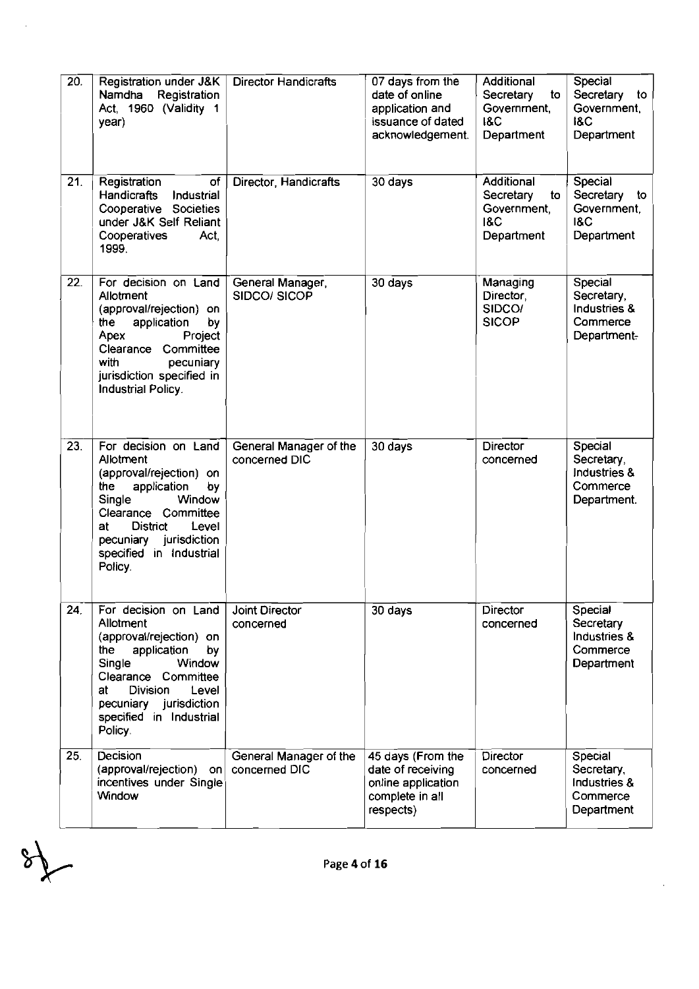| 20. | Registration under J&K<br>Namdha<br>Registration<br>Act, 1960 (Validity 1<br>year)                                                                                                                                                           | <b>Director Handicrafts</b>             | 07 days from the<br>date of online<br>application and<br>issuance of dated<br>acknowledgement. | Additional<br>Secretary<br>to<br>Government,<br><b>I&amp;C</b><br>Department | Special<br>Secretary<br>to<br>Government,<br><b>I&amp;C</b><br>Department |
|-----|----------------------------------------------------------------------------------------------------------------------------------------------------------------------------------------------------------------------------------------------|-----------------------------------------|------------------------------------------------------------------------------------------------|------------------------------------------------------------------------------|---------------------------------------------------------------------------|
| 21. | Registration<br>of<br><b>Handicrafts</b><br>Industrial<br>Cooperative Societies<br>under J&K Self Reliant<br>Cooperatives<br>Act.<br>1999.                                                                                                   | Director, Handicrafts                   | 30 days                                                                                        | Additional<br>Secretary<br>to<br>Government,<br><b>18C</b><br>Department     | Special<br>Secretary<br>to<br>Government,<br><b>1&amp;C</b><br>Department |
| 22. | For decision on Land<br>Allotment<br>(approval/rejection) on<br>oy<br>the<br>application<br>Apex<br>Project<br>Clearance Committee<br>with<br>pecuniary<br>jurisdiction specified in<br>Industrial Policy.                                   | General Manager,<br>SIDCO/ SICOP        | 30 days                                                                                        | Managing<br>Director,<br>SIDCO/<br><b>SICOP</b>                              | Special<br>Secretary,<br>Industries &<br>Commerce<br>Department-          |
| 23. | For decision on Land<br>Allotment<br>(approval/rejection) on<br>application<br>by<br>the<br>Single<br>Window<br>Clearance Committee<br><b>District</b><br>Level<br>at<br>pecuniary jurisdiction<br>specified in Industrial<br>Policy.        | General Manager of the<br>concerned DIC | 30 days                                                                                        | <b>Director</b><br>concerned                                                 | Special<br>Secretary,<br>Industries &<br>Commerce<br>Department.          |
| 24. | For decision on Land<br>Allotment<br>(approval/rejection) on<br>application<br>the<br><b>by</b><br>Single<br>Window<br>Clearance Committee<br>at<br><b>Division</b><br>Level<br>pecuniary jurisdiction<br>specified in Industrial<br>Policy. | <b>Joint Director</b><br>concerned      | 30 days                                                                                        | Director<br>concerned                                                        | Special<br>Secretary<br>Industries &<br>Commerce<br>Department            |
| 25. | Decision<br>(approval/rejection)<br>on<br>incentives under Single<br>Window                                                                                                                                                                  | General Manager of the<br>concerned DIC | 45 days (From the<br>date of receiving<br>online application<br>complete in all<br>respects)   | <b>Director</b><br>concerned                                                 | Special<br>Secretary,<br>Industries &<br>Commerce<br>Department           |

l.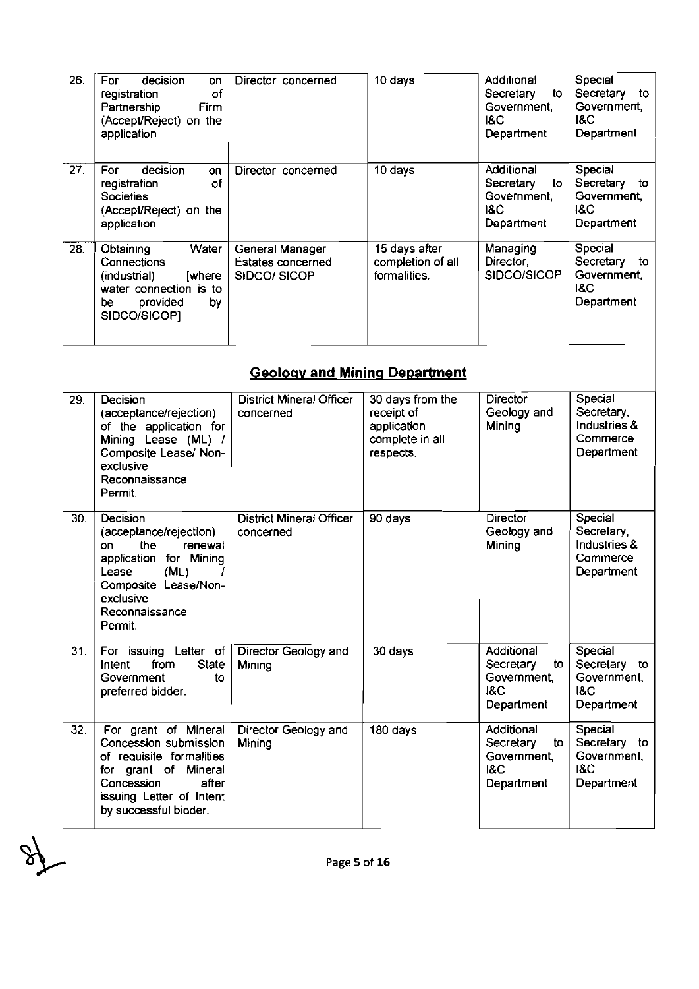| 26. | decision<br>For<br>on<br>of<br>registration<br>Partnership<br>Firm<br>(Accept/Reject) on the<br>application                                                                     | Director concerned                                  | 10 days                                                                       | Additional<br>Secretary<br>to<br>Government,<br><b>I&amp;C</b><br>Department | Special<br>Secretary<br>to<br>Government,<br><b>I&amp;C</b><br>Department |
|-----|---------------------------------------------------------------------------------------------------------------------------------------------------------------------------------|-----------------------------------------------------|-------------------------------------------------------------------------------|------------------------------------------------------------------------------|---------------------------------------------------------------------------|
| 27. | For<br>decision<br>OП<br>of<br>registration<br><b>Societies</b><br>(Accept/Reject) on the<br>application                                                                        | Director concerned                                  | 10 days                                                                       | Additional<br>Secretary<br>to<br>Government,<br><b>I&amp;C</b><br>Department | Special<br>Secretary<br>to<br>Government,<br><b>1&amp;C</b><br>Department |
| 28. | Water<br>Obtaining<br>Connections<br>(industrial)<br>[where<br>water connection is to<br>provided<br>be<br>by<br>SIDCO/SICOP]                                                   | General Manager<br>Estates concerned<br>SIDCO/SICOP | 15 days after<br>completion of all<br>formalities.                            | Managing<br>Director,<br>SIDCO/SICOP                                         | Special<br>Secretary<br>to<br>Government,<br><b>I&amp;C</b><br>Department |
|     |                                                                                                                                                                                 | <b>Geology and Mining Department</b>                |                                                                               |                                                                              |                                                                           |
| 29. | Decision<br>(acceptance/rejection)<br>of the application for<br>Mining Lease (ML) /<br>Composite Lease/ Non-<br>exclusive<br>Reconnaissance<br>Permit.                          | <b>District Mineral Officer</b><br>concerned        | 30 days from the<br>receipt of<br>application<br>complete in all<br>respects. | <b>Director</b><br>Geology and<br>Mining                                     | Special<br>Secretary,<br>Industries &<br>Commerce<br>Department           |
| 30. | Decision<br>(acceptance/rejection)<br>the<br>on<br>renewal<br>application<br>for Mining<br>(ML)<br>Lease<br>I<br>Composite Lease/Non-<br>exclusive<br>Reconnaissance<br>Permit. | <b>District Mineral Officer</b><br>concerned        | 90 days                                                                       | <b>Director</b><br>Geology and<br>Mining                                     | Special<br>Secretary,<br>Industries &<br>Commerce<br>Department           |
| 31. | For issuing Letter of<br><b>State</b><br>from<br>Intent<br>Government<br>to<br>preferred bidder.                                                                                | Director Geology and<br>Mining                      | 30 days                                                                       | Additional<br>Secretary<br>to<br>Government,<br><b>I&amp;C</b><br>Department | Special<br>Secretary to<br>Government,<br>kC<br>Department                |
| 32. | For grant of Mineral<br>Concession submission<br>of requisite formalities<br>for grant of Mineral<br>Concession<br>after<br>issuing Letter of Intent<br>by successful bidder.   | Director Geology and<br>Mining                      | 180 days                                                                      | Additional<br>Secretary<br>to<br>Government,<br><b>I&amp;C</b><br>Department | Special<br>Secretary to<br>Government,<br><b>1&amp;C</b><br>Department    |

 $\mathscr{S}$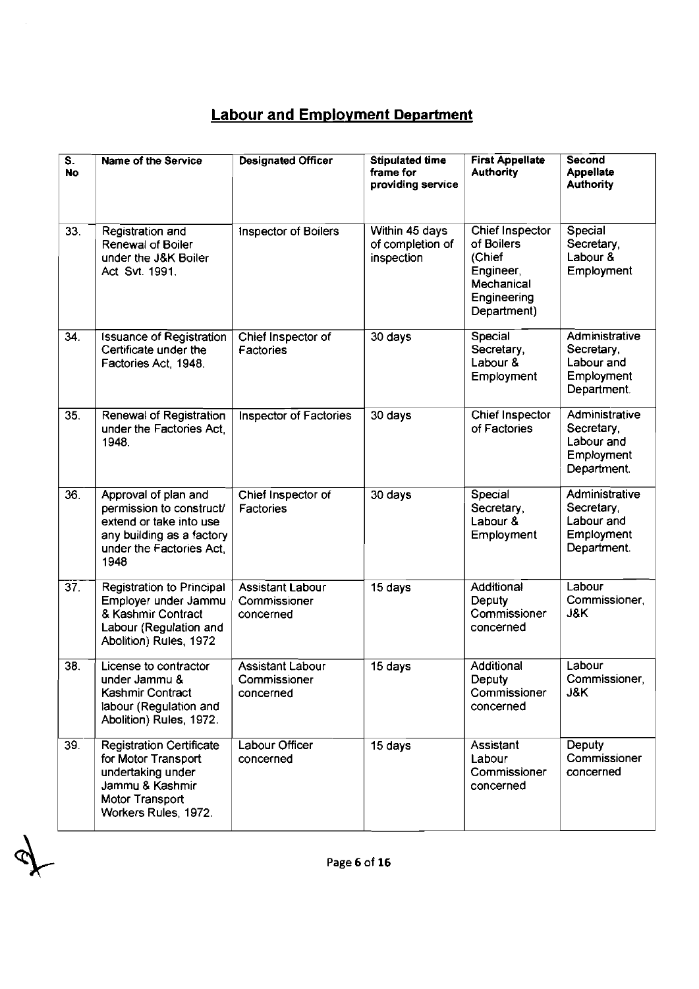# **Labour and Emplovment Department**

| $\overline{\mathsf{s}}$ .<br><b>No</b> | <b>Name of the Service</b>                                                                                                                   | <b>Designated Officer</b>                            | <b>Stipulated time</b><br>frame for<br>providing service | <b>First Appellate</b><br><b>Authority</b>                                                       | Second<br><b>Appellate</b><br><b>Authority</b>                          |
|----------------------------------------|----------------------------------------------------------------------------------------------------------------------------------------------|------------------------------------------------------|----------------------------------------------------------|--------------------------------------------------------------------------------------------------|-------------------------------------------------------------------------|
| 33.                                    | Registration and<br>Renewal of Boiler<br>under the J&K Boiler<br>Act Svt. 1991.                                                              | Inspector of Boilers                                 | Within 45 days<br>of completion of<br>inspection         | Chief Inspector<br>of Boilers<br>(Chief<br>Engineer,<br>Mechanical<br>Engineering<br>Department) | Special<br>Secretary,<br>Labour &<br>Employment                         |
| 34.                                    | <b>Issuance of Registration</b><br>Certificate under the<br>Factories Act, 1948.                                                             | Chief Inspector of<br>Factories                      | 30 days                                                  | Special<br>Secretary,<br>Labour &<br>Employment                                                  | Administrative<br>Secretary,<br>Labour and<br>Employment<br>Department. |
| 35.                                    | Renewal of Registration<br>under the Factories Act.<br>1948.                                                                                 | Inspector of Factories                               | 30 days                                                  | <b>Chief Inspector</b><br>of Factories                                                           | Administrative<br>Secretary,<br>Labour and<br>Employment<br>Department. |
| 36.                                    | Approval of plan and<br>permission to construct/<br>extend or take into use<br>any building as a factory<br>under the Factories Act,<br>1948 | Chief Inspector of<br>Factories                      | 30 days                                                  | Special<br>Secretary,<br>Labour &<br>Employment                                                  | Administrative<br>Secretary,<br>Labour and<br>Employment<br>Department. |
| $\overline{37}$ .                      | <b>Registration to Principal</b><br>Employer under Jammu<br>& Kashmir Contract<br>Labour (Regulation and<br>Abolition) Rules, 1972           | Assistant Labour<br>Commissioner<br>concerned        | 15 days                                                  | Additional<br>Deputy<br>Commissioner<br>concerned                                                | Labour<br>Commissioner,<br>J&K                                          |
| 38.                                    | License to contractor<br>under Jammu &<br>Kashmir Contract<br>labour (Regulation and<br>Abolition) Rules, 1972.                              | <b>Assistant Labour</b><br>Commissioner<br>concerned | 15 days                                                  | Additional<br>Deputy<br>Commissioner<br>concerned                                                | Labour<br>Commissioner,<br>J&K.                                         |
| 39.                                    | <b>Registration Certificate</b><br>for Motor Transport<br>undertaking under<br>Jammu & Kashmir<br>Motor Transport<br>Workers Rules, 1972.    | Labour Officer<br>concerned                          | 15 days                                                  | Assistant<br>Labour<br>Commissioner<br>concerned                                                 | Deputy<br>Commissioner<br>concerned                                     |

Page 6 of 16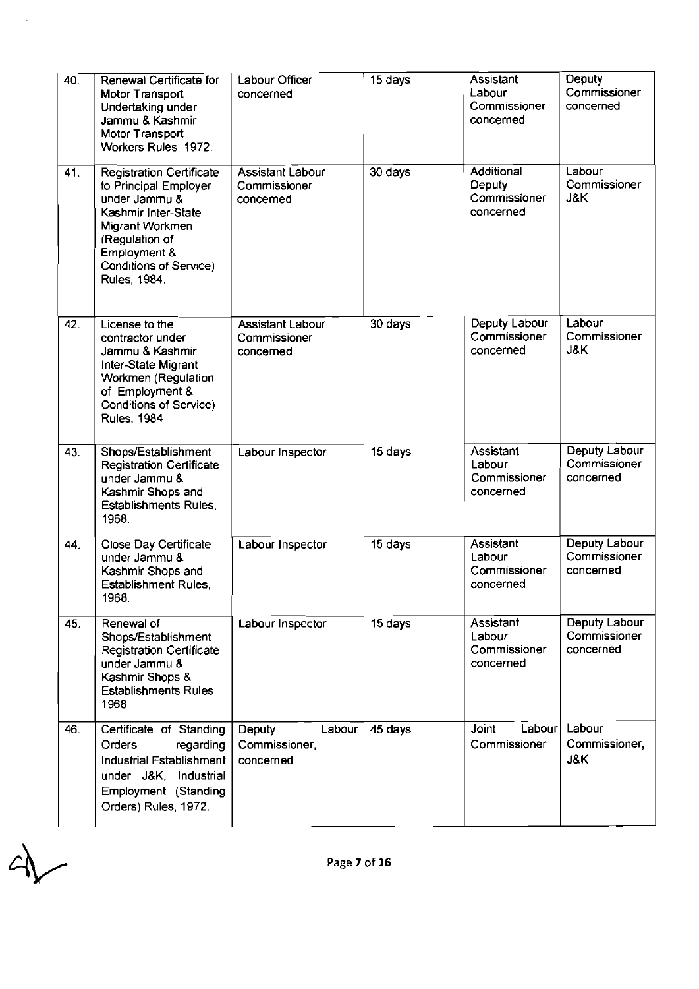| 40. | Renewal Certificate for<br>Motor Transport<br>Undertaking under<br>Jammu & Kashmir<br>Motor Transport<br>Workers Rules, 1972.                                                                          | Labour Officer<br>concerned                          | 15 days | Assistant<br>Labour<br>Commissioner<br>concerned  | Deputy<br>Commissioner<br>concerned        |
|-----|--------------------------------------------------------------------------------------------------------------------------------------------------------------------------------------------------------|------------------------------------------------------|---------|---------------------------------------------------|--------------------------------------------|
| 41. | <b>Registration Certificate</b><br>to Principal Employer<br>under Jammu &<br>Kashmir Inter-State<br>Migrant Workmen<br>(Regulation of<br>Employment &<br><b>Conditions of Service)</b><br>Rules, 1984. | <b>Assistant Labour</b><br>Commissioner<br>concerned | 30 days | Additional<br>Deputy<br>Commissioner<br>concerned | Labour<br>Commissioner<br>J&K              |
| 42. | License to the<br>contractor under<br>Jammu & Kashmir<br>Inter-State Migrant<br>Workmen (Regulation<br>of Employment &<br><b>Conditions of Service)</b><br><b>Rules, 1984</b>                          | <b>Assistant Labour</b><br>Commissioner<br>concerned | 30 days | Deputy Labour<br>Commissioner<br>concerned        | Labour<br>Commissioner<br>J&K              |
| 43. | Shops/Establishment<br><b>Registration Certificate</b><br>under Jammu &<br>Kashmir Shops and<br><b>Establishments Rules,</b><br>1968.                                                                  | Labour Inspector                                     | 15 days | Assistant<br>Labour<br>Commissioner<br>concerned  | Deputy Labour<br>Commissioner<br>concerned |
| 44. | <b>Close Day Certificate</b><br>under Jammu &<br>Kashmir Shops and<br><b>Establishment Rules,</b><br>1968.                                                                                             | Labour Inspector                                     | 15 days | Assistant<br>Labour<br>Commissioner<br>concerned  | Deputy Labour<br>Commissioner<br>concerned |
| 45. | Renewal of<br>Shops/Establishment<br><b>Registration Certificate</b><br>under Jammu &<br>Kashmir Shops &<br><b>Establishments Rules,</b><br>1968                                                       | Labour Inspector                                     | 15 days | Assistant<br>Labour<br>Commissioner<br>concerned  | Deputy Labour<br>Commissioner<br>concerned |
| 46. | Certificate of Standing<br>Orders<br>regarding<br>Industrial Establishment<br>under J&K, Industrial<br>Employment (Standing<br>Orders) Rules, 1972.                                                    | Deputy<br>Labour<br>Commissioner,<br>concerned       | 45 days | Joint<br>Labour<br>Commissioner                   | Labour<br>Commissioner,<br>J&K             |

 $\frac{1}{2}$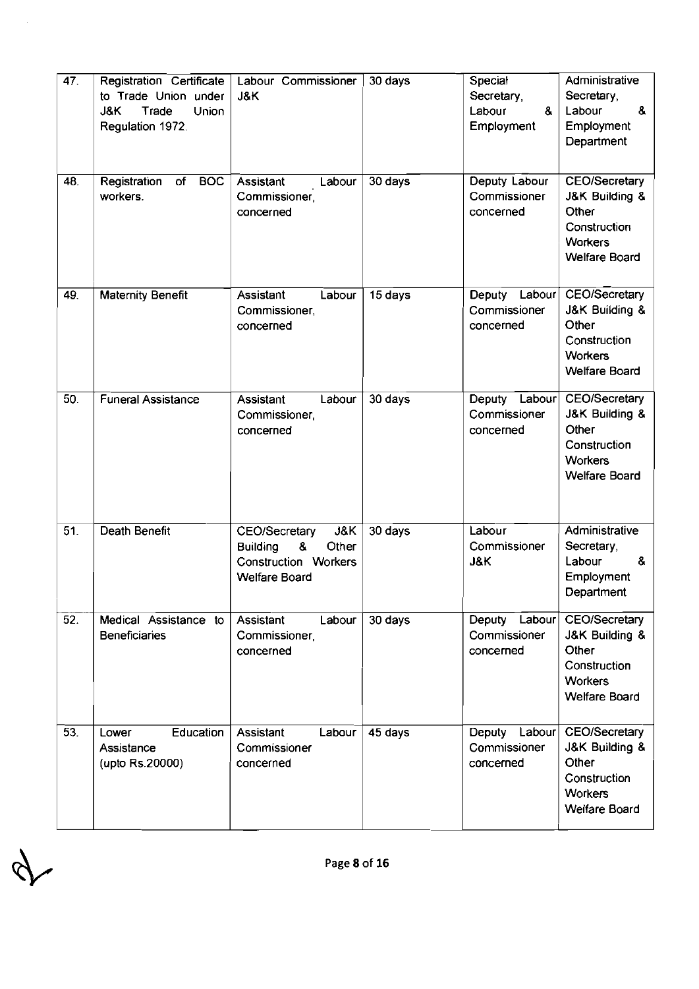| 47.               | Registration Certificate<br>to Trade Union under<br>J&K<br>Trade<br>Union<br>Regulation 1972. | Labour Commissioner<br>J&K                                                                                                     | 30 days | Special<br>Secretary,<br>Labour<br>&<br>Employment | Administrative<br>Secretary,<br>8.<br>Labour<br>Employment<br>Department                                  |
|-------------------|-----------------------------------------------------------------------------------------------|--------------------------------------------------------------------------------------------------------------------------------|---------|----------------------------------------------------|-----------------------------------------------------------------------------------------------------------|
| 48.               | Registration<br><b>BOC</b><br>of<br>workers.                                                  | Assistant<br>Labour<br>Commissioner,<br>concerned                                                                              | 30 days | Deputy Labour<br>Commissioner<br>concerned         | CEO/Secretary<br>J&K Building &<br>Other<br>Construction<br><b>Workers</b><br><b>Welfare Board</b>        |
| 49.               | <b>Maternity Benefit</b>                                                                      | Labour<br>Assistant<br>Commissioner,<br>concerned                                                                              | 15 days | Deputy<br>Labour<br>Commissioner<br>concerned      | <b>CEO/Secretary</b><br>J&K Building &<br>Other<br>Construction<br><b>Workers</b><br><b>Welfare Board</b> |
| 50.               | <b>Funeral Assistance</b>                                                                     | Assistant<br>Labour<br>Commissioner<br>concerned                                                                               | 30 days | Deputy<br>Labour<br>Commissioner<br>concerned      | CEO/Secretary<br>J&K Building &<br>Other<br>Construction<br><b>Workers</b><br><b>Welfare Board</b>        |
| 51.               | Death Benefit                                                                                 | <b>J&amp;K</b><br><b>CEO/Secretary</b><br>8<br><b>Building</b><br>Other<br><b>Construction Workers</b><br><b>Welfare Board</b> | 30 days | Labour<br>Commissioner<br>J&K                      | Administrative<br>Secretary,<br>Labour<br>8.<br>Employment<br>Department                                  |
| $\overline{52}$ . | Medical Assistance to<br><b>Beneficiaries</b>                                                 | Assistant<br>Labour<br>Commissioner,<br>concerned                                                                              | 30 days | Labour<br>Deputy<br>Commissioner<br>concerned      | CEO/Secretary<br>J&K Building &<br>Other<br>Construction<br><b>Workers</b><br><b>Welfare Board</b>        |
| 53.               | Education<br>Lower<br>Assistance<br>(upto Rs.20000)                                           | Assistant<br>Labour<br>Commissioner<br>concerned                                                                               | 45 days | Deputy<br>Labour<br>Commissioner<br>concerned      | <b>CEO/Secretary</b><br>J&K Building &<br>Other<br>Construction<br><b>Workers</b><br><b>Welfare Board</b> |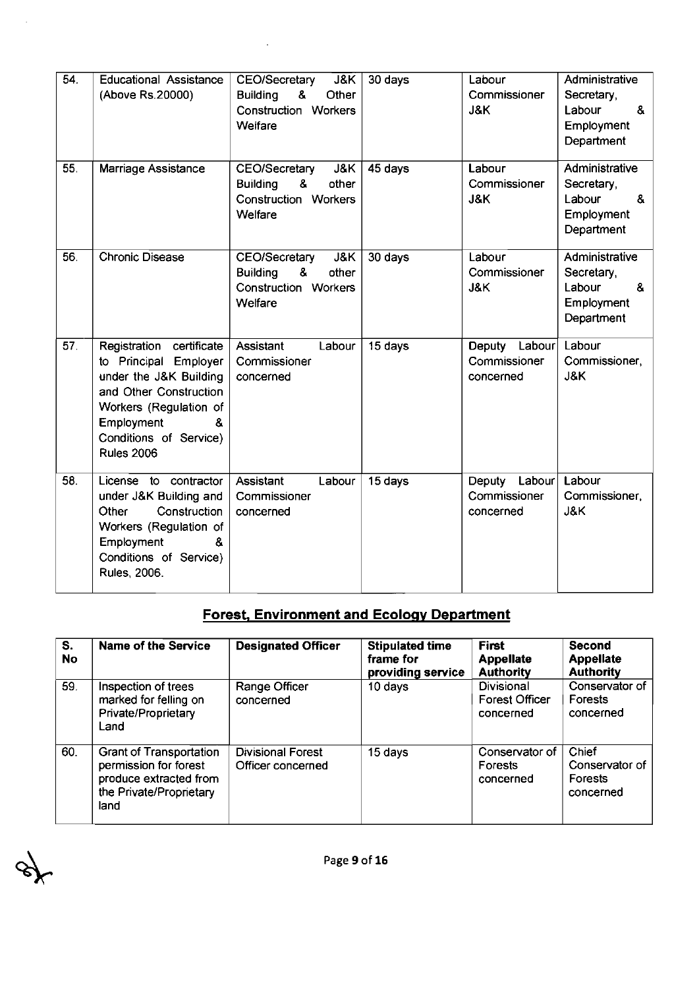| 54. | <b>Educational Assistance</b><br>(Above Rs.20000)                                                                                                                                                 | CEO/Secretary<br>J&K<br>8.<br>Other<br><b>Building</b><br>Construction Workers<br>Weifare               | 30 days | Labour<br>Commissioner<br>J&K                     | Administrative<br>Secretary,<br>&<br>Labour<br>Employment<br>Department  |
|-----|---------------------------------------------------------------------------------------------------------------------------------------------------------------------------------------------------|---------------------------------------------------------------------------------------------------------|---------|---------------------------------------------------|--------------------------------------------------------------------------|
| 55. | Marriage Assistance                                                                                                                                                                               | J&K<br>CEO/Secretary<br>8.<br>other<br><b>Building</b><br><b>Construction Workers</b><br><b>Welfare</b> | 45 days | Labour<br>Commissioner<br>J&K                     | Administrative<br>Secretary,<br>Labour<br>8.<br>Employment<br>Department |
| 56. | Chronic Disease                                                                                                                                                                                   | J&K<br>CEO/Secretary<br>8.<br>other<br><b>Building</b><br>Construction Workers<br>Welfare               | 30 days | Labour<br>Commissioner<br>J&K                     | Administrative<br>Secretary.<br>Labour<br>&<br>Employment<br>Department  |
| 57. | Registration certificate<br>to Principal Employer<br>under the J&K Building<br>and Other Construction<br>Workers (Regulation of<br>Employment<br>&<br>Conditions of Service)<br><b>Rules 2006</b> | Labour<br>Assistant<br>Commissioner<br>concerned                                                        | 15 days | Deputy Labour<br>Commissioner<br>concerned        | Labour<br>Commissioner,<br>J&K                                           |
| 58. | License to contractor<br>under J&K Building and<br>Construction<br>Other<br>Workers (Regulation of<br>Employment<br>8.<br>Conditions of Service)<br>Rules, 2006.                                  | Assistant<br>Labour<br>Commissioner<br>concerned                                                        | 15 days | Labour $ $<br>Deputy<br>Commissioner<br>concerned | Labour<br>Commissioner,<br>J&K                                           |

 $\ddot{\phantom{0}}$ 

 $\ddot{\phantom{a}}$ 

 $\mathscr{E}$ 

## **Forest, Environment and Ecoloqv Department**

| S.<br><b>No</b> | <b>Name of the Service</b>                                                                                           | <b>Designated Officer</b>                     | <b>Stipulated time</b><br>frame for<br>providing service | First<br><b>Appellate</b><br><b>Authority</b>    | <b>Second</b><br><b>Appellate</b><br><b>Authority</b> |
|-----------------|----------------------------------------------------------------------------------------------------------------------|-----------------------------------------------|----------------------------------------------------------|--------------------------------------------------|-------------------------------------------------------|
| 59.             | Inspection of trees<br>marked for felling on<br>Private/Proprietary<br>Land                                          | Range Officer<br>concerned                    | 10 days                                                  | Divisional<br><b>Forest Officer</b><br>concerned | Conservator of<br>Forests<br>concerned                |
| 60.             | <b>Grant of Transportation</b><br>permission for forest<br>produce extracted from<br>the Private/Proprietary<br>land | <b>Divisional Forest</b><br>Officer concerned | 15 days                                                  | Conservator of<br>Forests<br>concerned           | Chief<br>Conservator of<br>Forests<br>concerned       |

Page 9 of 16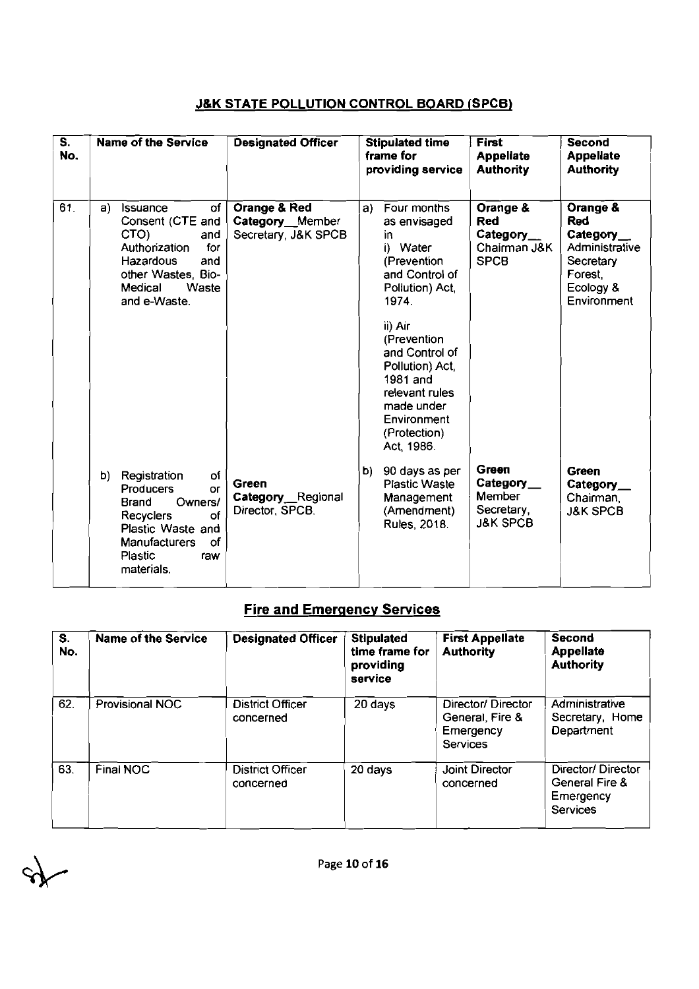#### **JBK STATE POLLUTION CONTROL BOARD (SPCB)**

| $\overline{\mathbf{s}}$ .<br>No. | Name of the Service                                                                                                                                                                 | <b>Designated Officer</b>                              | <b>Stipulated time</b><br>frame for<br>providing service                                                                                            | <b>First</b><br><b>Appellate</b><br><b>Authority</b>               | Second<br><b>Appellate</b><br><b>Authority</b>                                                            |
|----------------------------------|-------------------------------------------------------------------------------------------------------------------------------------------------------------------------------------|--------------------------------------------------------|-----------------------------------------------------------------------------------------------------------------------------------------------------|--------------------------------------------------------------------|-----------------------------------------------------------------------------------------------------------|
| 61.                              | <b>Issuance</b><br>οf<br>a)<br>Consent (CTE and<br>CTO)<br>and<br>for<br>Authorization<br>Hazardous<br>and<br>other Wastes, Bio-<br>Medical<br>Waste<br>and e-Waste.                | Orange & Red<br>Category Member<br>Secretary, J&K SPCB | Four months<br>a)<br>as envisaged<br>in.<br>i) Water<br>(Prevention<br>and Control of<br>Pollution) Act.<br>1974.                                   | Orange &<br><b>Red</b><br>Category_<br>Chairman J&K<br><b>SPCB</b> | Orange &<br><b>Red</b><br>Category_<br>Administrative<br>Secretary<br>Forest.<br>Ecology &<br>Environment |
|                                  |                                                                                                                                                                                     |                                                        | ii) Air<br>(Prevention<br>and Control of<br>Pollution) Act<br>1981 and<br>relevant rules<br>made under<br>Environment<br>(Protection)<br>Act, 1986. |                                                                    |                                                                                                           |
|                                  | b)<br>Registration<br>οf<br>Producers<br>or<br>Owners/<br>Brand<br>of<br><b>Recyclers</b><br>Plastic Waste and<br><b>Manufacturers</b><br>οf<br><b>Plastic</b><br>raw<br>materials. | Green<br>Category Regional<br>Director, SPCB.          | 90 days as per<br>b)<br><b>Plastic Waste</b><br>Management<br>(Amendment)<br>Rules, 2018.                                                           | Green<br>Category<br>Member<br>Secretary,<br><b>J&amp;K SPCB</b>   | Green<br>Category_<br>Chairman,<br><b>J&amp;K SPCB</b>                                                    |

# **Fire and Emeraencv Services**

|           | .<br><b>Plastic</b><br>raw<br>materials. |                                      |                                                             |                                                                      |                                                              |
|-----------|------------------------------------------|--------------------------------------|-------------------------------------------------------------|----------------------------------------------------------------------|--------------------------------------------------------------|
|           |                                          | <b>Fire and Emergency Services</b>   |                                                             |                                                                      |                                                              |
| S.<br>No. | <b>Name of the Service</b>               | <b>Designated Officer</b>            | <b>Stipulated</b><br>time frame for<br>providing<br>service | <b>First Appellate</b><br><b>Authority</b>                           | <b>Second</b><br><b>Appellate</b><br><b>Authority</b>        |
| 62.       | Provisional NOC                          | <b>District Officer</b><br>concerned | 20 days                                                     | Director/Director<br>General, Fire &<br>Emergency<br><b>Services</b> | Administrative<br>Secretary, Home<br>Department              |
| 63.       | Final NOC                                | District Officer<br>concerned        | 20 days                                                     | <b>Joint Director</b><br>concerned                                   | Director/Director<br>General Fire &<br>Emergency<br>Services |

 $\lambda$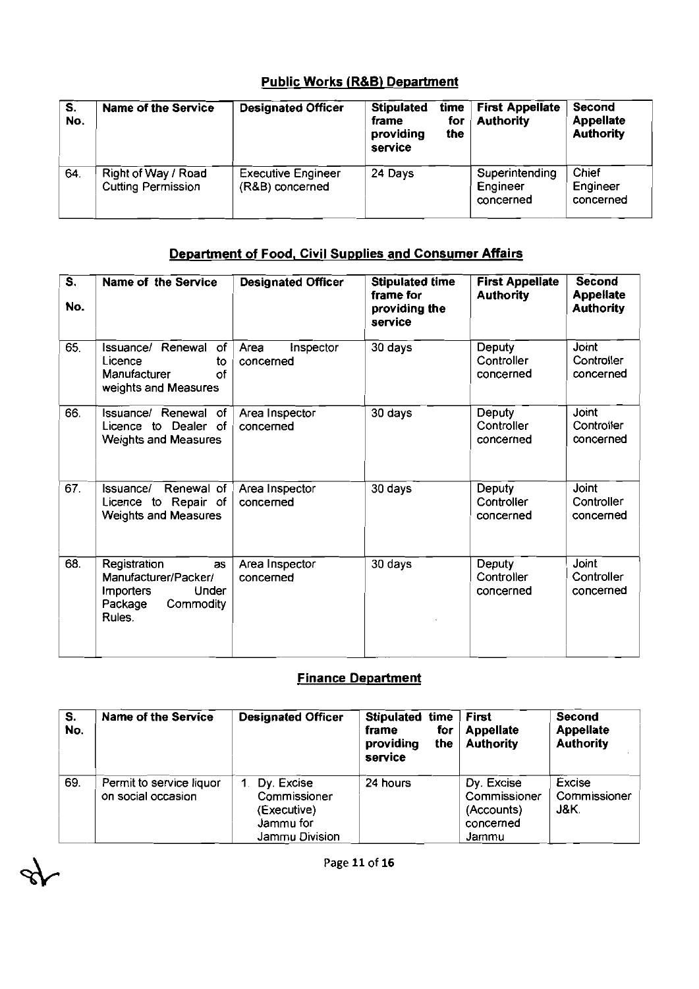#### **Public Works (R&B) Department**

|                                  |                                                  | <b>Public Works (R&amp;B) Department</b>     |                                                    |                    |                                            |                                                |
|----------------------------------|--------------------------------------------------|----------------------------------------------|----------------------------------------------------|--------------------|--------------------------------------------|------------------------------------------------|
| $\overline{\mathbf{s}}$ .<br>No. | <b>Name of the Service</b>                       | <b>Designated Officer</b>                    | <b>Stipulated</b><br>frame<br>providing<br>service | time<br>for<br>the | <b>First Appellate</b><br><b>Authority</b> | Second<br><b>Appellate</b><br><b>Authority</b> |
| 64.                              | Right of Way / Road<br><b>Cutting Permission</b> | <b>Executive Engineer</b><br>(R&B) concerned | 24 Days                                            |                    | Superintending<br>Engineer<br>concerned    | Chief<br>Engineer<br>concerned                 |

#### Department of Food. Civil Supplies and Consumer Affairs

| $\overline{\mathsf{s}}$ .<br>No. | Name of the Service                                                                                              | <b>Designated Officer</b>      | <b>Stipulated time</b><br>frame for<br>providing the<br>service | <b>First Appellate</b><br><b>Authority</b> | <b>Second</b><br><b>Appellate</b><br><b>Authority</b> |
|----------------------------------|------------------------------------------------------------------------------------------------------------------|--------------------------------|-----------------------------------------------------------------|--------------------------------------------|-------------------------------------------------------|
| 65.                              | Issuance/ Renewal<br>of<br>Licence<br>to<br>Manufacturer<br>of<br>weights and Measures                           | Area<br>Inspector<br>concerned | 30 days                                                         | Deputy<br>Controller<br>concerned          | Joint<br>Controller<br>concerned                      |
| 66.                              | Issuance/ Renewal of<br>Licence to Dealer of<br><b>Weights and Measures</b>                                      | Area Inspector<br>concerned    | 30 days                                                         | Deputy<br>Controller<br>concerned          | Joint<br>Controller<br>concerned                      |
| 67.                              | Renewal of<br>Issuance/<br>Licence to Repair of<br><b>Weights and Measures</b>                                   | Area Inspector<br>concerned    | 30 days                                                         | Deputy<br>Controller<br>concerned          | Joint<br>Controller<br>concerned                      |
| 68.                              | Registration<br><b>as</b><br>Manufacturer/Packer/<br>Under<br><b>Importers</b><br>Commodity<br>Package<br>Rules. | Area Inspector<br>concerned    | 30 days                                                         | Deputy<br>Controller<br>concerned          | Joint<br>Controller<br>concerned                      |

#### Finance Department

| S.<br>No. | Name of the Service                            | <b>Designated Officer</b>                                                                 | Stipulated time<br>for<br>frame<br>the<br>providing<br>service | <b>First</b><br><b>Appellate</b><br><b>Authority</b>           | Second<br><b>Appellate</b><br><b>Authority</b> |
|-----------|------------------------------------------------|-------------------------------------------------------------------------------------------|----------------------------------------------------------------|----------------------------------------------------------------|------------------------------------------------|
| 69.       | Permit to service liquor<br>on social occasion | Dy. Excise<br>$\mathbf 1$ .<br>Commissioner<br>(Executive)<br>Jammu for<br>Jammu Division | 24 hours                                                       | Dy. Excise<br>Commissioner<br>(Accounts)<br>concerned<br>Jammu | Excise<br>Commissioner<br>J&K.                 |

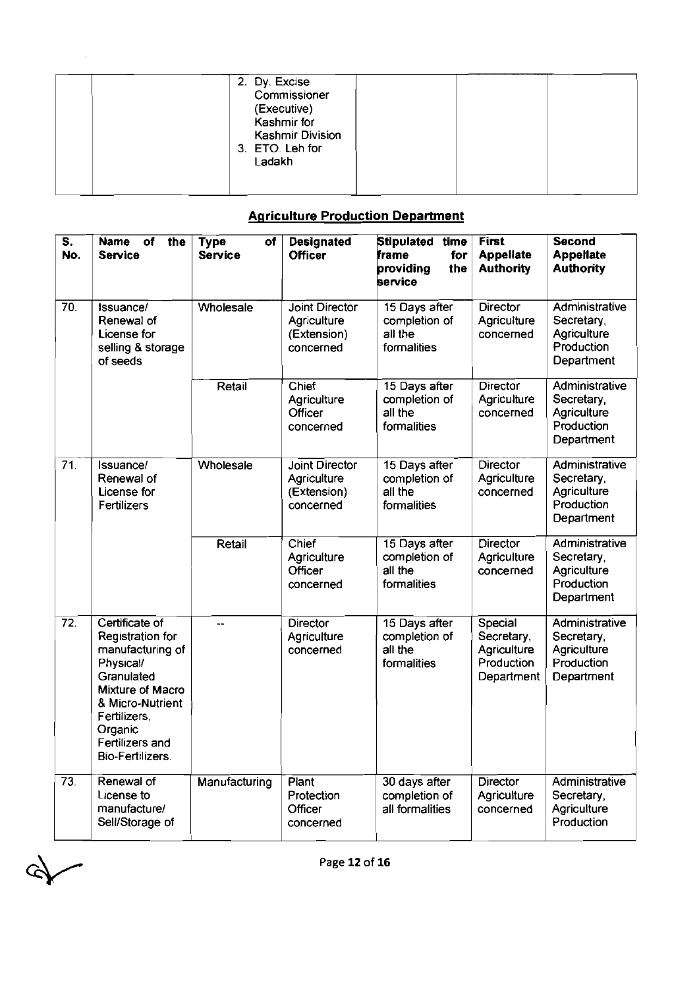|  | 2. Dy. Excise<br>Commissioner<br>(Executive)<br>Kashmir for<br>Kashmir Division<br>3. ETO. Leh for<br>Ladakh |  |  |
|--|--------------------------------------------------------------------------------------------------------------|--|--|
|  |                                                                                                              |  |  |

#### **Agriculture Production Department**

| $\overline{\mathbf{s}}$ .<br>No. | <b>Name</b><br>оf<br>the<br><b>Service</b>                                                                                                                                                                | <b>Type</b><br>оf<br><b>Service</b> | <b>Designated</b><br><b>Officer</b>                       | Stipulated time<br>frame<br>for<br>providing<br>the<br>service | <b>First</b><br><b>Appellate</b><br><b>Authority</b>             | <b>Second</b><br><b>Appellate</b><br><b>Authority</b>                   |
|----------------------------------|-----------------------------------------------------------------------------------------------------------------------------------------------------------------------------------------------------------|-------------------------------------|-----------------------------------------------------------|----------------------------------------------------------------|------------------------------------------------------------------|-------------------------------------------------------------------------|
| 70.                              | Issuance/<br>Renewal of<br>License for<br>selling & storage<br>of seeds                                                                                                                                   | Wholesale                           | Joint Director<br>Agriculture<br>(Extension)<br>concerned | 15 Days after<br>completion of<br>all the<br>formalities       | <b>Director</b><br>Agriculture<br>concerned                      | Administrative<br>Secretary,<br>Agriculture<br>Production<br>Department |
|                                  |                                                                                                                                                                                                           | Retail                              | Chief<br>Agriculture<br>Officer<br>concerned              | 15 Days after<br>completion of<br>all the<br>formalities       | Director<br>Agriculture<br>concerned                             | Administrative<br>Secretary,<br>Agriculture<br>Production<br>Department |
| $\overline{71}$                  | Issuance/<br>Renewal of<br>License for<br>Fertilizers                                                                                                                                                     | Wholesale                           | Joint Director<br>Agriculture<br>(Extension)<br>concerned | 15 Days after<br>completion of<br>all the<br>formalities       | Director<br>Agriculture<br>concerned                             | Administrative<br>Secretary,<br>Agriculture<br>Production<br>Department |
|                                  |                                                                                                                                                                                                           | Retail                              | Chief<br>Agriculture<br>Officer<br>concerned              | 15 Days after<br>completion of<br>all the<br>formalities       | <b>Director</b><br>Agriculture<br>concerned                      | Administrative<br>Secretary,<br>Agriculture<br>Production<br>Department |
| $\overline{72}$                  | Certificate of<br><b>Registration for</b><br>manufacturing of<br>Physical/<br>Granulated<br>Mixture of Macro<br>& Micro-Nutrient<br>Fertilizers,<br>Organic<br>Fertilizers and<br><b>Bio-Fertilizers.</b> | --                                  | <b>Director</b><br>Agriculture<br>concerned               | 15 Days after<br>completion of<br>all the<br>formalities       | Special<br>Secretary,<br>Agriculture<br>Production<br>Department | Administrative<br>Secretary,<br>Agriculture<br>Production<br>Department |
| 73.                              | Renewal of<br>License to<br>manufacture/<br>Sell/Storage of                                                                                                                                               | Manufacturing                       | Plant<br>Protection<br>Officer<br>concerned               | 30 days after<br>completion of<br>all formalities              | <b>Director</b><br>Agriculture<br>concerned                      | Administrative<br>Secretary,<br>Agriculture<br>Production               |

 $\mathbb{R}$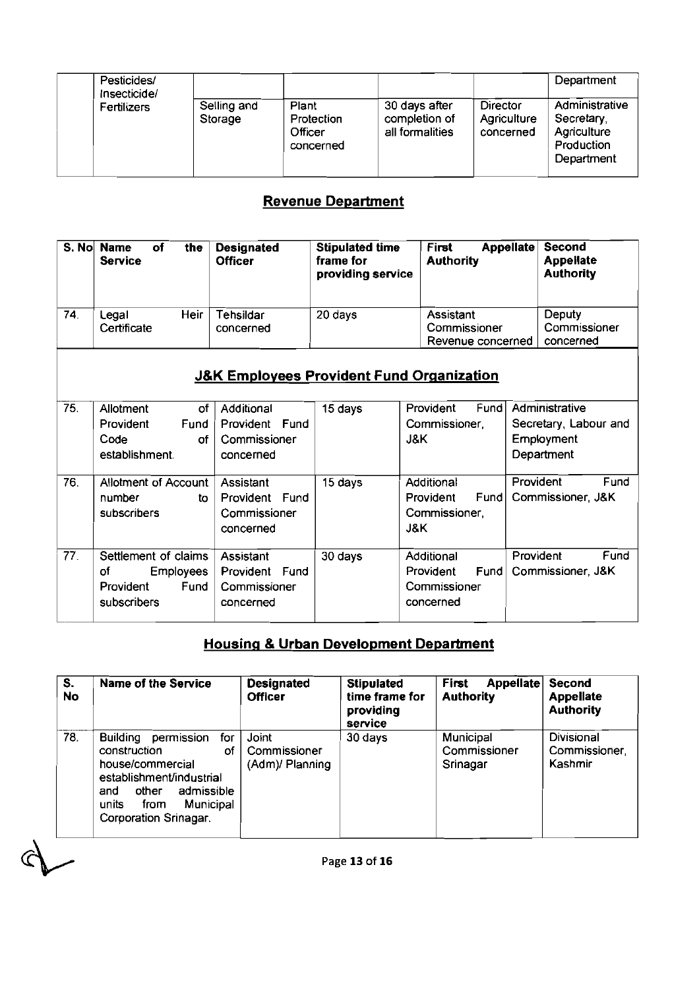| Pesticides/<br>Insecticide/ |                        |                                             |                                                   |                                             | Department                                                              |
|-----------------------------|------------------------|---------------------------------------------|---------------------------------------------------|---------------------------------------------|-------------------------------------------------------------------------|
| Fertilizers                 | Selling and<br>Storage | Plant<br>Protection<br>Officer<br>concerned | 30 days after<br>completion of<br>all formalities | <b>Director</b><br>Agriculture<br>concerned | Administrative<br>Secretary,<br>Agriculture<br>Production<br>Department |

### **Revenue Department**

|     | S. No Name<br>оf<br><b>Service</b> | the  | <b>Designated</b><br><b>Officer</b> | <b>Stipulated time</b><br>frame for<br>providing service | Appellate<br>First<br><b>Authority</b>         | Second<br><b>Appellate</b><br><b>Authority</b> |
|-----|------------------------------------|------|-------------------------------------|----------------------------------------------------------|------------------------------------------------|------------------------------------------------|
| 74. | Legal<br>Certificate               | Heir | Tehsildar<br>concerned              | 20 days                                                  | Assistant<br>Commissioner<br>Revenue concerned | Deputy<br>Commissioner<br>concerned            |

### **J&K Employees Provident Fund Organization**

|                   |                                                                                    |                                                           | TARTANG PA <b>kalahan</b>                                |                                                                    |           |                                                                     |
|-------------------|------------------------------------------------------------------------------------|-----------------------------------------------------------|----------------------------------------------------------|--------------------------------------------------------------------|-----------|---------------------------------------------------------------------|
| S. No             | of<br><b>Name</b><br>the<br><b>Service</b>                                         | <b>Designated</b><br><b>Officer</b>                       | <b>Stipulated time</b><br>frame for<br>providing service | First<br><b>Authority</b>                                          | Appellate | <b>Second</b><br><b>Appellate</b><br><b>Authority</b>               |
| 74.               | <b>Heir</b><br>Legal<br>Certificate                                                | Tehsildar<br>concerned                                    | 20 days                                                  | Assistant<br>Commissioner<br>Revenue concerned                     |           | Deputy<br>Commissioner<br>concerned                                 |
|                   |                                                                                    | <b>J&amp;K Employees Provident Fund Organization</b>      |                                                          |                                                                    |           |                                                                     |
| 75.               | Allotment<br>οf<br>Provident<br>Fund<br>Code<br>Οf<br>establishment.               | Additional<br>Provident Fund<br>Commissioner<br>concerned | 15 days                                                  | Fund<br>Provident<br>Commissioner,<br><b>J&amp;K</b>               |           | Administrative<br>Secretary, Labour and<br>Employment<br>Department |
| 76.               | <b>Allotment of Account</b><br>number<br>to<br>subscribers                         | Assistant<br>Provident Fund<br>Commissioner<br>concerned  | 15 days                                                  | Additional<br>Provident<br>Fund<br>Commissioner,<br><b>J&amp;K</b> | Provident | Fund<br>Commissioner, J&K                                           |
| $\overline{77}$ . | Settlement of claims<br><b>Employees</b><br>of<br>Fund<br>Provident<br>subscribers | Assistant<br>Provident Fund<br>Commissioner<br>concerned  | 30 days                                                  | Additional<br>Provident<br>Fund<br>Commissioner<br>concerned       | Provident | Fund<br>Commissioner, J&K                                           |

#### **Housinq 8 Urban Development Department**

| S.<br>No | Name of the Service                                                                                                                                                                             | <b>Designated</b><br><b>Officer</b>      | <b>Stipulated</b><br>time frame for<br>providing<br>service | First<br>Appellate<br><b>Authority</b> | <b>Second</b><br><b>Appellate</b><br><b>Authority</b> |
|----------|-------------------------------------------------------------------------------------------------------------------------------------------------------------------------------------------------|------------------------------------------|-------------------------------------------------------------|----------------------------------------|-------------------------------------------------------|
| 78.      | permission<br><b>Building</b><br>for<br>construction<br>Οf<br>house/commercial<br>establishment/industrial<br>admissible<br>other<br>and<br>Municipal<br>from<br>units<br>Corporation Srinagar. | Joint<br>Commissioner<br>(Adm)/ Planning | 30 days                                                     | Municipal<br>Commissioner<br>Srinagar  | Divisional<br>Commissioner,<br>Kashmir                |

 $\sigma$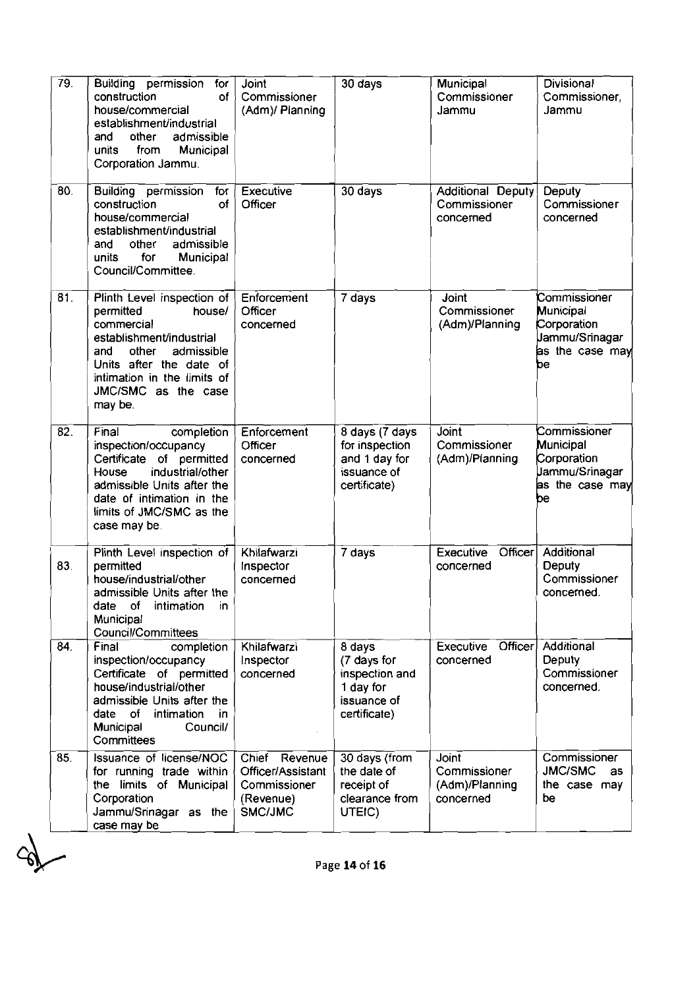| 79  | Building permission<br>for<br>construction<br>$of \,$<br>house/commercial<br>establishment/industrial<br>and<br>other<br>admissible<br>units<br>from<br>Municipal<br>Corporation Jammu.                               | Joint<br>Commissioner<br>(Adm)/ Planning                                   | 30 days                                                                             | Municipal<br>Commissioner<br>Jammu                   | <b>Divisional</b><br>Commissioner,<br>Jammu                                         |
|-----|-----------------------------------------------------------------------------------------------------------------------------------------------------------------------------------------------------------------------|----------------------------------------------------------------------------|-------------------------------------------------------------------------------------|------------------------------------------------------|-------------------------------------------------------------------------------------|
| 80. | Building permission<br>for<br>construction<br>of<br>house/commercial<br>establishment/industrial<br>admissible<br>and<br>other<br>units<br>for<br>Municipal<br>Council/Committee.                                     | Executive<br>Officer                                                       | 30 days                                                                             | Additional Deputy<br>Commissioner<br>concerned       | Deputy<br>Commissioner<br>concerned                                                 |
| 81. | Plinth Level inspection of<br>permitted<br>house/<br>commercial<br>establishment/industrial<br>and<br>other<br>admissible<br>Units after the date of<br>intimation in the limits of<br>JMC/SMC as the case<br>may be. | Enforcement<br>Officer<br>concerned                                        | 7 days                                                                              | Joint<br>Commissioner<br>(Adm)/Planning              | Commissioner<br>Municipal<br>Corporation<br>Jammu/Srinagar<br>as the case may<br>be |
| 82. | Final<br>completion<br>inspection/occupancy<br>Certificate of permitted<br>industrial/other<br>House<br>admissible Units after the<br>date of intimation in the<br>limits of JMC/SMC as the<br>case may be            | Enforcement<br>Officer<br>concerned                                        | 8 days (7 days<br>for inspection<br>and 1 day for<br>issuance of<br>certificate)    | Joint<br>Commissioner<br>(Adm)/Planning              | Commissioner<br>Municipal<br>Corporation<br>Jammu/Srinagar<br>as the case may<br>be |
| 83. | Plinth Level inspection of<br>permitted<br>house/industrial/other<br>admissible Units after the<br>of<br>date<br>intimation<br>in.<br><b>Municipal</b><br><b>Council/Committees</b>                                   | Khilafwarzi<br>Inspector<br>concerned                                      | 7 days                                                                              | Officer<br>Executive<br>concerned                    | Additional<br>Deputy<br>Commissioner<br>concerned.                                  |
| 84. | Final<br>completion<br>inspection/occupancy<br>Certificate of permitted<br>house/industrial/other<br>admissible Units after the<br>date of<br>intimation<br>in.<br>Municipal<br>Council/<br>Committees                | Khilafwarzi<br>Inspector<br>concerned                                      | 8 days<br>(7 days for<br>inspection and<br>1 day for<br>issuance of<br>certificate) | Executive<br>Officer<br>concerned                    | Additional<br>Deputy<br>Commissioner<br>concerned.                                  |
| 85. | Issuance of license/NOC<br>for running trade within<br>the limits of Municipal<br>Corporation<br>Jammu/Srinagar as the<br>case may be                                                                                 | Chief Revenue<br>Officer/Assistant<br>Commissioner<br>(Revenue)<br>SMC/JMC | 30 days (from<br>the date of<br>receipt of<br>clearance from<br>UTEIC)              | Joint<br>Commissioner<br>(Adm)/Planning<br>concerned | Commissioner<br>JMC/SMC<br>as<br>the case may<br>be                                 |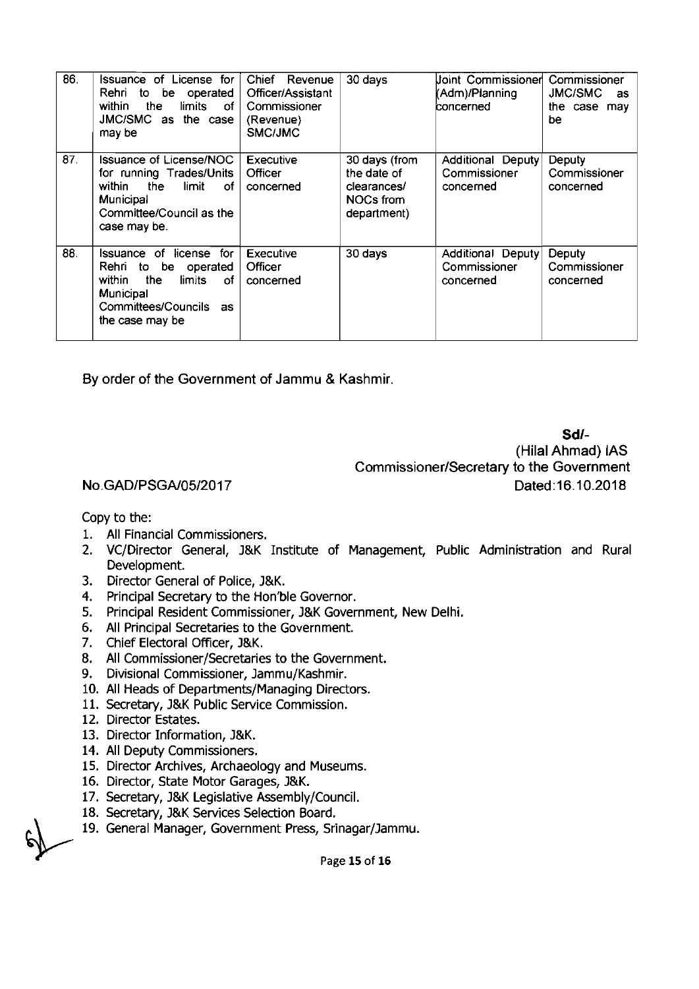| 86. | Issuance of License for<br>Rehri to<br>be operated<br>within<br>the<br>limits<br>of<br><b>JMC/SMC</b><br>the case<br>as<br>may be                   | Chief Revenue<br>Officer/Assistant<br>Commissioner<br>(Revenue)<br>SMC/JMC | 30 days                                                                        | Joint Commissioner<br>(Adm)/Planning<br>concerned | Commissioner<br>JMC/SMC<br>as<br>the case may<br>be |
|-----|-----------------------------------------------------------------------------------------------------------------------------------------------------|----------------------------------------------------------------------------|--------------------------------------------------------------------------------|---------------------------------------------------|-----------------------------------------------------|
| 87. | <b>Issuance of License/NOC</b><br>for running Trades/Units<br>within<br>the<br>limit<br>0f<br>Municipal<br>Committee/Council as the<br>case may be. | Executive<br>Officer<br>concerned                                          | 30 days (from<br>the date of<br>clearances/<br><b>NOCs from</b><br>department) | Additional Deputy<br>Commissioner<br>concerned    | Deputy<br>Commissioner<br>concerned                 |
| 88. | Issuance of license<br>for<br>Rehrito<br>be operated<br>within<br>the<br>0f<br>limits<br>Municipal<br>Committees/Councils<br>as.<br>the case may be | Executive<br>Officer<br>concerned                                          | 30 days                                                                        | Additional Deputy<br>Commissioner<br>concerned    | Deputy<br>Commissioner<br>concerned                 |

**By** order of the Government of Jammu & Kashmir.

**Sdl-** 

(Hilal Ahmad) IAS Commissioner/Secretary to the Government Dated:16.10.2018

#### No.GAD/PSGA/05/2017

Copy to the:

- 1. All Financial Commissioners.
- 2. VC/Director General, J&K Institute of Management, Public Administration and Rural Development.
- 3. Director General of Police, J&K.
- 4. Principal Secretary to the Hon'ble Governor.
- 5. Principal Resident Commissioner, J&K Government, New Delhi.
- 6. All Principal Secretaries to the Government.
- 7. Chief Electoral Officer, l&K.
- 8. All Commissioner/Secretaries to the Government.
- 9. Divisional Commissioner, Jammu/Kashmir.
- 10. All Heads of Departments/Managing Directors.
- 11. Secretary, J&K Public Service Commission.
- 12. Director Estates.
- 13. Director Information, J&K.
- 14. All Deputy Commissioners.
- 15. Director Archives, Archaeology and Museums.
- 16. Director, State Motor Garages, J&K.
- 17. Secretary, J&K Legislative Assembly/Council.
- 18. Secretary, J&K Services Selection Board.
- 19. General Manager, Government Press, Srinagar/Jammu.

**r** Page 15 of 16